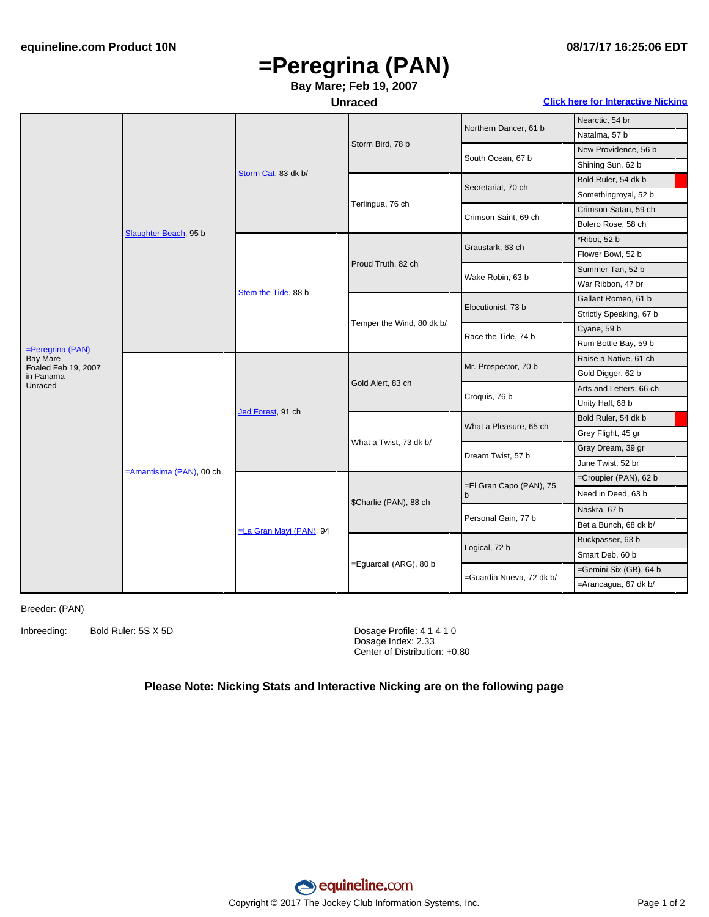# **=Peregrina (PAN)**

### **Bay Mare; Feb 19, 2007**

#### **Unraced Click here for [Interactive](#page-1-0) Nicking**

|                                        | Slaughter Beach, 95 b    | Storm Cat, 83 dk b/             | Storm Bird, 78 b          |                              | Nearctic, 54 br         |
|----------------------------------------|--------------------------|---------------------------------|---------------------------|------------------------------|-------------------------|
|                                        |                          |                                 |                           | Northern Dancer, 61 b        | Natalma, 57 b           |
|                                        |                          |                                 |                           | South Ocean, 67 b            | New Providence, 56 b    |
|                                        |                          |                                 |                           |                              | Shining Sun, 62 b       |
|                                        |                          |                                 | Terlingua, 76 ch          | Secretariat, 70 ch           | Bold Ruler, 54 dk b     |
|                                        |                          |                                 |                           |                              | Somethingroyal, 52 b    |
|                                        |                          |                                 |                           | Crimson Saint, 69 ch         | Crimson Satan, 59 ch    |
|                                        |                          |                                 |                           |                              | Bolero Rose, 58 ch      |
|                                        |                          | Stem the Tide, 88 b             | Proud Truth, 82 ch        | Graustark, 63 ch             | *Ribot, 52 b            |
|                                        |                          |                                 |                           |                              | Flower Bowl, 52 b       |
|                                        |                          |                                 |                           | Wake Robin, 63 b             | Summer Tan, 52 b        |
|                                        |                          |                                 |                           |                              | War Ribbon, 47 br       |
|                                        |                          |                                 | Temper the Wind, 80 dk b/ | Elocutionist, 73 b           | Gallant Romeo, 61 b     |
|                                        |                          |                                 |                           |                              | Strictly Speaking, 67 b |
|                                        |                          |                                 |                           | Race the Tide, 74 b          | Cyane, 59 b             |
| $=$ Peregrina (PAN)                    |                          |                                 |                           |                              | Rum Bottle Bay, 59 b    |
| <b>Bay Mare</b><br>Foaled Feb 19, 2007 | =Amantisima (PAN), 00 ch | Jed Forest, 91 ch               | Gold Alert, 83 ch         | Mr. Prospector, 70 b         | Raise a Native, 61 ch   |
| in Panama                              |                          |                                 |                           |                              | Gold Digger, 62 b       |
| Unraced                                |                          |                                 |                           | Croquis, 76 b                | Arts and Letters, 66 ch |
|                                        |                          |                                 |                           |                              | Unity Hall, 68 b        |
|                                        |                          |                                 | What a Twist, 73 dk b/    | What a Pleasure, 65 ch       | Bold Ruler, 54 dk b     |
|                                        |                          |                                 |                           |                              | Grey Flight, 45 gr      |
|                                        |                          |                                 |                           | Dream Twist, 57 b            | Gray Dream, 39 gr       |
|                                        |                          |                                 |                           |                              | June Twist, 52 br       |
|                                        |                          | <b>ELa Gran Mayi (PAN)</b> , 94 | \$Charlie (PAN), 88 ch    | =El Gran Capo (PAN), 75<br>b | =Croupier (PAN), 62 b   |
|                                        |                          |                                 |                           |                              | Need in Deed, 63 b      |
|                                        |                          |                                 |                           | Personal Gain, 77 b          | Naskra, 67 b            |
|                                        |                          |                                 |                           |                              | Bet a Bunch, 68 dk b/   |
|                                        |                          |                                 | =Eguarcall (ARG), 80 b    | Logical, 72 b                | Buckpasser, 63 b        |
|                                        |                          |                                 |                           |                              | Smart Deb, 60 b         |
|                                        |                          |                                 |                           | =Guardia Nueva, 72 dk b/     | =Gemini Six (GB), 64 b  |
|                                        |                          |                                 |                           |                              | =Arancagua, 67 dk b/    |

#### Breeder: (PAN)

Inbreeding: Bold Ruler: 5S X 5D Dosage Profile: 4 1 4 1 0

Dosage Index: 2.33 Center of Distribution: +0.80

#### **Please Note: Nicking Stats and Interactive Nicking are on the following page**